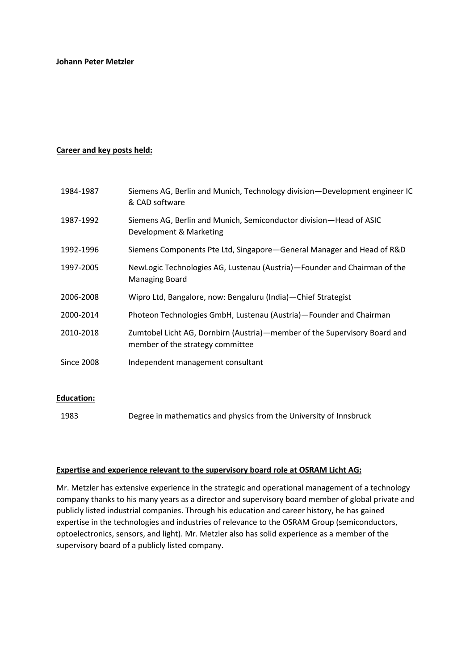## **Career and key posts held:**

| 1984-1987         | Siemens AG, Berlin and Munich, Technology division—Development engineer IC<br>& CAD software                  |
|-------------------|---------------------------------------------------------------------------------------------------------------|
| 1987-1992         | Siemens AG, Berlin and Munich, Semiconductor division-Head of ASIC<br>Development & Marketing                 |
| 1992-1996         | Siemens Components Pte Ltd, Singapore-General Manager and Head of R&D                                         |
| 1997-2005         | NewLogic Technologies AG, Lustenau (Austria)-Founder and Chairman of the<br>Managing Board                    |
| 2006-2008         | Wipro Ltd, Bangalore, now: Bengaluru (India) - Chief Strategist                                               |
| 2000-2014         | Photeon Technologies GmbH, Lustenau (Austria)-Founder and Chairman                                            |
| 2010-2018         | Zumtobel Licht AG, Dornbirn (Austria)-member of the Supervisory Board and<br>member of the strategy committee |
| <b>Since 2008</b> | Independent management consultant                                                                             |
|                   |                                                                                                               |

## **Education:**

1983 Degree in mathematics and physics from the University of Innsbruck

#### **Expertise and experience relevant to the supervisory board role at OSRAM Licht AG:**

Mr. Metzler has extensive experience in the strategic and operational management of a technology company thanks to his many years as a director and supervisory board member of global private and publicly listed industrial companies. Through his education and career history, he has gained expertise in the technologies and industries of relevance to the OSRAM Group (semiconductors, optoelectronics, sensors, and light). Mr. Metzler also has solid experience as a member of the supervisory board of a publicly listed company.